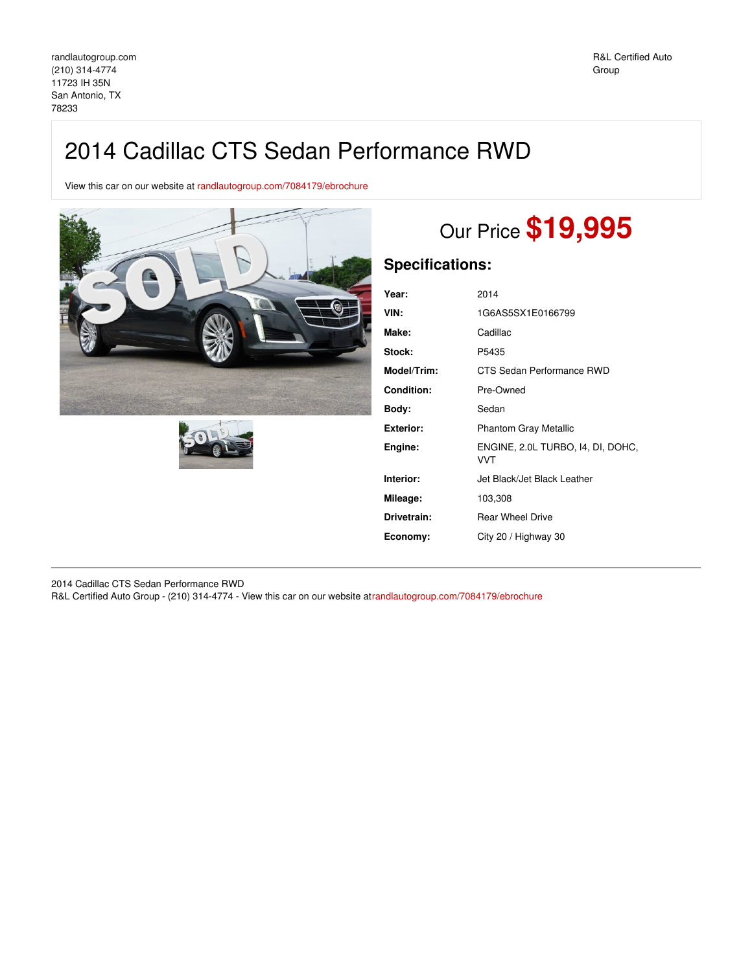## 2014 Cadillac CTS Sedan Performance RWD

View this car on our website at [randlautogroup.com/7084179/ebrochure](https://randlautogroup.com/vehicle/7084179/2014-cadillac-cts-sedan-performance-rwd-san-antonio-tx-78233/7084179/ebrochure)





# Our Price **\$19,995**

## **Specifications:**

| Year:              | 2014                                            |
|--------------------|-------------------------------------------------|
| VIN:               | 1G6AS5SX1E0166799                               |
| Make:              | Cadillac                                        |
| Stock:             | P5435                                           |
| <b>Model/Trim:</b> | CTS Sedan Performance RWD                       |
| Condition:         | Pre-Owned                                       |
| Bodv:              | Sedan                                           |
| Exterior:          | <b>Phantom Gray Metallic</b>                    |
| Engine:            | ENGINE, 2.0L TURBO, 14, DI, DOHC,<br><b>VVT</b> |
| Interior:          | Jet Black/Jet Black Leather                     |
| Mileage:           | 103,308                                         |
| Drivetrain:        | <b>Rear Wheel Drive</b>                         |
| Economy:           | City 20 / Highway 30                            |
|                    |                                                 |

2014 Cadillac CTS Sedan Performance RWD R&L Certified Auto Group - (210) 314-4774 - View this car on our website a[trandlautogroup.com/7084179/ebrochure](https://randlautogroup.com/vehicle/7084179/2014-cadillac-cts-sedan-performance-rwd-san-antonio-tx-78233/7084179/ebrochure)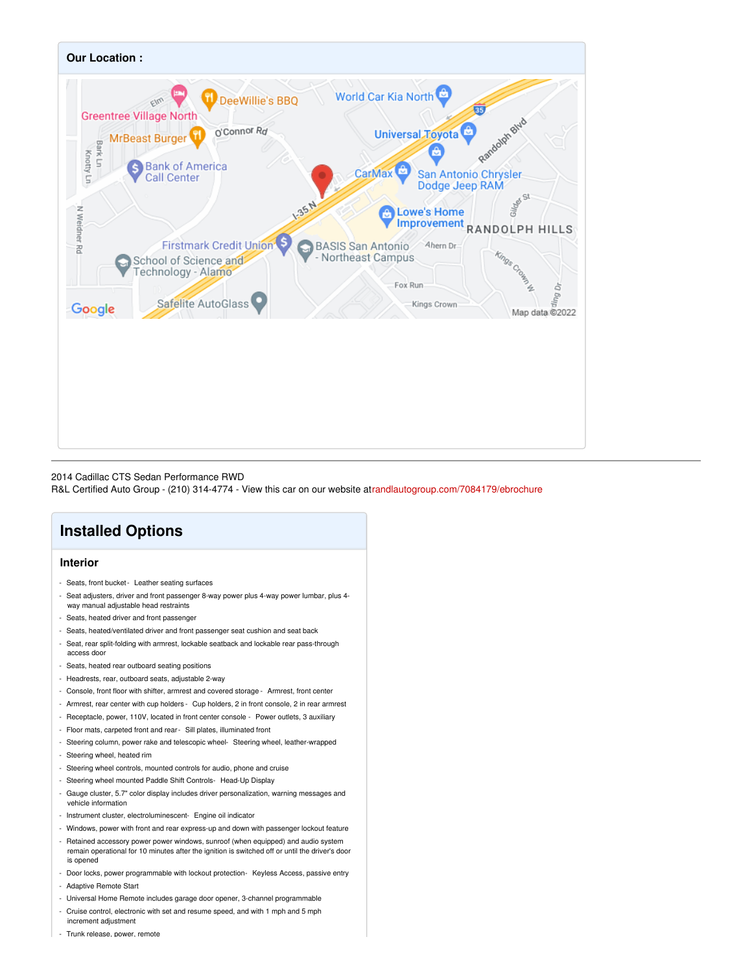

#### 2014 Cadillac CTS Sedan Performance RWD

R&L Certified Auto Group - (210) 314-4774 - View this car on our website a[trandlautogroup.com/7084179/ebrochure](https://randlautogroup.com/vehicle/7084179/2014-cadillac-cts-sedan-performance-rwd-san-antonio-tx-78233/7084179/ebrochure)

## **Installed Options**

#### **Interior**

- Seats, front bucket- Leather seating surfaces
- Seat adjusters, driver and front passenger 8-way power plus 4-way power lumbar, plus 4 way manual adjustable head restraints
- Seats, heated driver and front passenger
- Seats, heated/ventilated driver and front passenger seat cushion and seat back
- Seat, rear split-folding with armrest, lockable seatback and lockable rear pass-through access door
- Seats, heated rear outboard seating positions
- Headrests, rear, outboard seats, adjustable 2-way
- Console, front floor with shifter, armrest and covered storage Armrest, front center
- Armrest, rear center with cup holders Cup holders, 2 in front console, 2 in rear armrest
- Receptacle, power, 110V, located in front center console Power outlets, 3 auxiliary
- Floor mats, carpeted front and rear- Sill plates, illuminated front
- Steering column, power rake and telescopic wheel- Steering wheel, leather-wrapped
- Steering wheel, heated rim
- Steering wheel controls, mounted controls for audio, phone and cruise
- Steering wheel mounted Paddle Shift Controls- Head-Up Display
- Gauge cluster, 5.7" color display includes driver personalization, warning messages and vehicle information
- Instrument cluster, electroluminescent- Engine oil indicator
- Windows, power with front and rear express-up and down with passenger lockout feature
- Retained accessory power power windows, sunroof (when equipped) and audio system remain operational for 10 minutes after the ignition is switched off or until the driver's door is opened
- Door locks, power programmable with lockout protection- Keyless Access, passive entry
- Adaptive Remote Start
- Universal Home Remote includes garage door opener, 3-channel programmable
- Cruise control, electronic with set and resume speed, and with 1 mph and 5 mph increment adjustment
- Trunk release, power, remote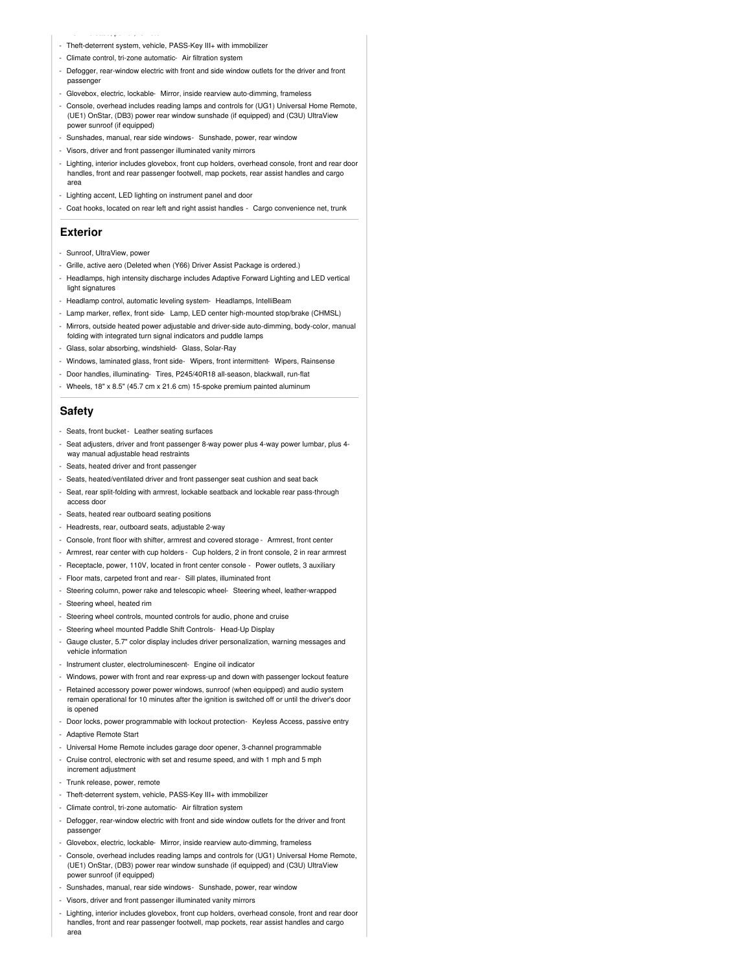- Theft-deterrent system, vehicle, PASS-Key III+ with immobilizer
- Climate control, tri-zone automatic- Air filtration system

- Trunk release, power, remote

- Defogger, rear-window electric with front and side window outlets for the driver and front passenger
- Glovebox, electric, lockable- Mirror, inside rearview auto-dimming, frameless
- Console, overhead includes reading lamps and controls for (UG1) Universal Home Remote, (UE1) OnStar, (DB3) power rear window sunshade (if equipped) and (C3U) UltraView power sunroof (if equipped)
- Sunshades, manual, rear side windows- Sunshade, power, rear window
- Visors, driver and front passenger illuminated vanity mirrors
- Lighting, interior includes glovebox, front cup holders, overhead console, front and rear door handles, front and rear passenger footwell, map pockets, rear assist handles and cargo area
- Lighting accent, LED lighting on instrument panel and door
- Coat hooks, located on rear left and right assist handles Cargo convenience net, trunk

#### **Exterior**

- Sunroof, UltraView, power
- Grille, active aero (Deleted when (Y66) Driver Assist Package is ordered.)
- Headlamps, high intensity discharge includes Adaptive Forward Lighting and LED vertical light signatures
- Headlamp control, automatic leveling system- Headlamps, IntelliBeam
- Lamp marker, reflex, front side- Lamp, LED center high-mounted stop/brake (CHMSL)
- Mirrors, outside heated power adjustable and driver-side auto-dimming, body-color, manual folding with integrated turn signal indicators and puddle lamps
- Glass, solar absorbing, windshield- Glass, Solar-Ray
- Windows, laminated glass, front side- Wipers, front intermittent- Wipers, Rainsense
- Door handles, illuminating- Tires, P245/40R18 all-season, blackwall, run-flat
- Wheels, 18" x 8.5" (45.7 cm x 21.6 cm) 15-spoke premium painted aluminum

#### **Safety**

- Seats, front bucket- Leather seating surfaces
- Seat adjusters, driver and front passenger 8-way power plus 4-way power lumbar, plus 4 way manual adjustable head restraints
- Seats, heated driver and front passenger
- Seats, heated/ventilated driver and front passenger seat cushion and seat back
- Seat, rear split-folding with armrest, lockable seatback and lockable rear pass-through access door
- Seats, heated rear outboard seating positions
- Headrests, rear, outboard seats, adjustable 2-way
- Console, front floor with shifter, armrest and covered storage Armrest, front center
- Armrest, rear center with cup holders Cup holders, 2 in front console, 2 in rear armrest
- Receptacle, power, 110V, located in front center console Power outlets, 3 auxiliary
- Floor mats, carpeted front and rear- Sill plates, illuminated front
- Steering column, power rake and telescopic wheel- Steering wheel, leather-wrapped
- Steering wheel, heated rim
- Steering wheel controls, mounted controls for audio, phone and cruise
- Steering wheel mounted Paddle Shift Controls- Head-Up Display
- Gauge cluster, 5.7" color display includes driver personalization, warning messages and vehicle information
- Instrument cluster, electroluminescent- Engine oil indicator
- Windows, power with front and rear express-up and down with passenger lockout feature
- Retained accessory power power windows, sunroof (when equipped) and audio system remain operational for 10 minutes after the ignition is switched off or until the driver's door is opened
- Door locks, power programmable with lockout protection- Keyless Access, passive entry
- Adaptive Remote Start
- Universal Home Remote includes garage door opener, 3-channel programmable
- Cruise control, electronic with set and resume speed, and with 1 mph and 5 mph
- increment adjustment
- Trunk release, power, remote
- Theft-deterrent system, vehicle, PASS-Key III+ with immobilizer
- Climate control, tri-zone automatic- Air filtration system
- Defogger, rear-window electric with front and side window outlets for the driver and front passenger
- Glovebox, electric, lockable- Mirror, inside rearview auto-dimming, frameless
- Console, overhead includes reading lamps and controls for (UG1) Universal Home Remote, (UE1) OnStar, (DB3) power rear window sunshade (if equipped) and (C3U) UltraView power sunroof (if equipped)
- Sunshades, manual, rear side windows- Sunshade, power, rear window
- Visors, driver and front passenger illuminated vanity mirrors
- Lighting, interior includes glovebox, front cup holders, overhead console, front and rear door handles, front and rear passenger footwell, map pockets, rear assist handles and cargo area